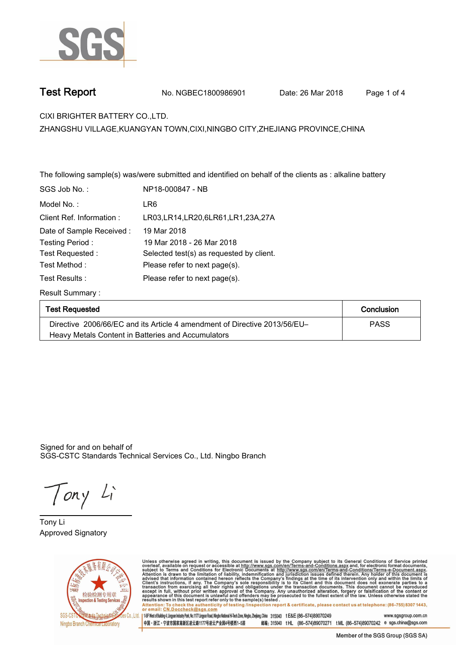

**Test Report. No. NGBEC1800986901** Date: 26 Mar 2018 Page 1 of 4

**CIXI BRIGHTER BATTERY CO.,LTD..**

**ZHANGSHU VILLAGE,KUANGYAN TOWN,CIXI,NINGBO CITY,ZHEJIANG PROVINCE,CHINA**

**The following sample(s) was/were submitted and identified on behalf of the clients as : alkaline battery.**

| SGS Job No.:             | NP18-000847 - NB                          |
|--------------------------|-------------------------------------------|
| Model No.:               | LR6                                       |
| Client Ref. Information: | LR03, LR14, LR20, 6 LR61, LR1, 23 A, 27 A |
| Date of Sample Received: | 19 Mar 2018                               |
| Testing Period:          | 19 Mar 2018 - 26 Mar 2018                 |
| Test Requested:          | Selected test(s) as requested by client.  |
| Test Method :            | Please refer to next page(s).             |
| Test Results :           | Please refer to next page(s).             |
| <b>Result Summary:</b>   |                                           |

| <b>Test Requested</b>                                                     | Conclusion  |
|---------------------------------------------------------------------------|-------------|
| Directive 2006/66/EC and its Article 4 amendment of Directive 2013/56/EU- | <b>PASS</b> |
| Heavy Metals Content in Batteries and Accumulators                        |             |

Signed for and on behalf of SGS-CSTC Standards Technical Services Co., Ltd. Ningbo Branch.

Tony Li

**Tony Li. Approved Signatory. . .**



Unless otherwise agreed in writing, this document is issued by the Company subject to its General Conditions of Service printed<br>overleaf, available on request or accessible at http://www.sgs.com/en/Terms-and-Conditions.asp Attention: To check the authenticity of testing linspection report & certificate, please contact us at telephone: (86-755) 8307 1443, or email: CN.Doccheck@sgs.com

| 1-5F West of Building 4, Lingum Industry Park, No.1177 Lingum Road, Ningbo National Hi-Tech Zone, Ningbo, Zhejiang, China 315040 tE&E (86-574)89070249 www.sasaroup.com.cn 中国・浙江・宁波市国家高新区凌云路1177号凌云产业园4号楼西1-5层 邮编: 315040 tHL (86-574)89070271 tML (86-574)89070242 e sgs.china@sgs.com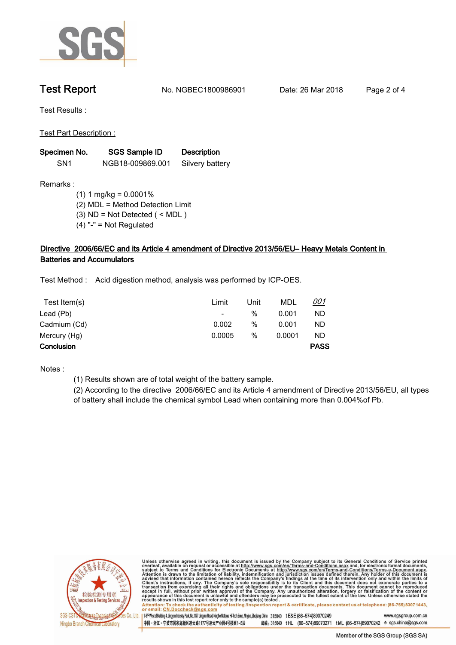

**Test Report. No. NGBEC1800986901** Date: 26 Mar 2018 Page 2 of 4

**Test Results :.**

**Test Part Description :.**

| Specimen No.    | <b>SGS Sample ID</b> | <b>Description</b> |  |
|-----------------|----------------------|--------------------|--|
| SN <sub>1</sub> | NGB18-009869.001     | Silvery battery    |  |

**Remarks :**

 **(1) 1 mg/kg = 0.0001% (2) MDL = Method Detection Limit (3) ND = Not Detected ( < MDL ) (4) "-" = Not Regulated**

# **Directive 2006/66/EC and its Article 4 amendment of Directive 2013/56/EU– Heavy Metals Content in Batteries and Accumulators.**

**Test Method :. Acid digestion method, analysis was performed by ICP-OES..**

| Test Item(s) | <u>Limit</u>             | <u>Unit</u> | <u>MDL</u> | <u>001</u>  |
|--------------|--------------------------|-------------|------------|-------------|
| Lead (Pb)    | $\overline{\phantom{a}}$ | %           | 0.001      | <b>ND</b>   |
| Cadmium (Cd) | 0.002                    | %           | 0.001      | ND          |
| Mercury (Hg) | 0.0005                   | %           | 0.0001     | <b>ND</b>   |
| Conclusion   |                          |             |            | <b>PASS</b> |

**Notes :.**

**(1) Results shown are of total weight of the battery sample.**

**(2) According to the directive 2006/66/EC and its Article 4 amendment of Directive 2013/56/EU, all types of battery shall include the chemical symbol Lead when containing more than 0.004%of Pb..**



Unless otherwise agreed in writing, this document is issued by the Company subject to its General Conditions of Service printed<br>overleaf, available on request or accessible at http://www.sgs.com/en/Terms-and-Conditions.asp Attention: To check the authenticity of testing /inspection report & certificate, please contact us at telephone: (86-755) 8307 1443,<br>or email: <u>CN.Doccheck@sgs.com</u>

145F West of Building 4, Lingyun Industry Park, No.1177 Lingyun Road, Ningbo National Hi-Tech Zone, Ningbo, Zhejang, China 315040 t E&E (86-574)89070249 www.sasgroup.com.cn

中国·浙江·宁波市国家高新区凌云路1177号凌云产业园4号楼西1-5层 邮编: 315040 tHL (86-574)89070271 tML (86-574)89070242 e sgs.china@sgs.com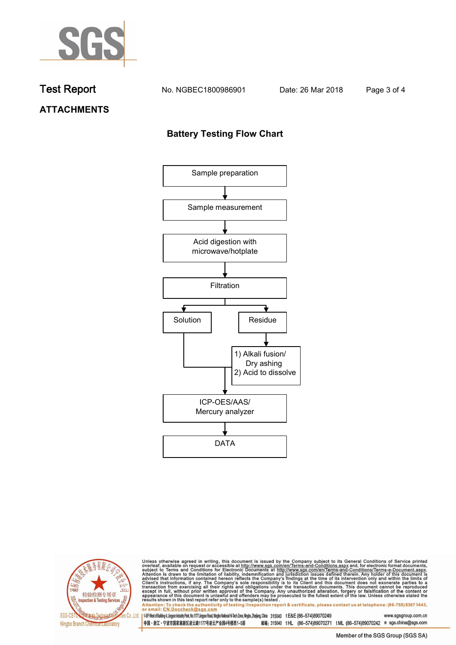

**Test Report. No. NGBEC1800986901 Date: 26 Mar 2018. Page 3 of 4.**

## **ATTACHMENTS**

### **Battery Testing Flow Chart**





Unless otherwise agreed in writing, this document is issued by the Company subject to its General Conditions of Service printed overleaf, available on request or accessible at http://www.sgs.com/en/Terms-and-Conditions.as

Attention: To check the authenticity of testing linspection report & certificate, please contact us at telephone: (86-755) 8307 1443, or email: CN.Doccheck@sgs.com 145F West of Building 4, Lingun Industry Park, No. 1177 Lingyun Road, Ningbo National Hi-Tech Zone, Ningbo, Zhejiang, China 315040 t E&E (86-574)89070249 www.sgsgroup.com.cn

中国・浙江・宁波市国家高新区凌云路1177号凌云产业园4号楼西1-5层 邮编: 315040 tHL (86-574)89070271 tML (86-574)89070242 e sgs.china@sgs.com